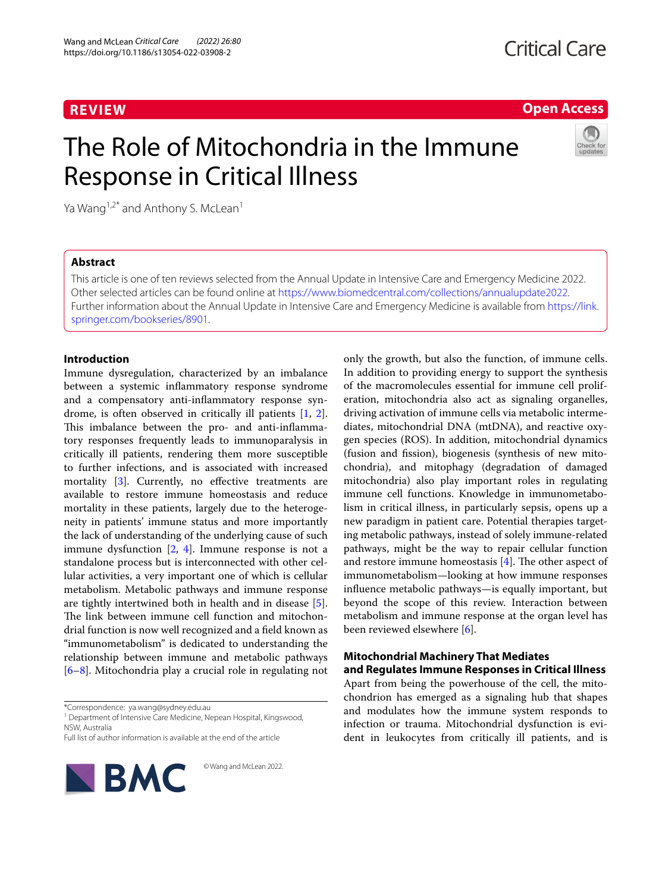# **REVIEW**

**Open Access**

# The Role of Mitochondria in the Immune Response in Critical Illness



Ya Wang<sup>1,2\*</sup> and Anthony S. McLean<sup>1</sup>

# **Abstract**

This article is one of ten reviews selected from the Annual Update in Intensive Care and Emergency Medicine 2022. Other selected articles can be found online at <https://www.biomedcentral.com/collections/annualupdate2022>. Further information about the Annual Update in Intensive Care and Emergency Medicine is available from [https://link.](https://link.springer.com/bookseries/8901) [springer.com/bookseries/8901.](https://link.springer.com/bookseries/8901)

# **Introduction**

Immune dysregulation, characterized by an imbalance between a systemic infammatory response syndrome and a compensatory anti-infammatory response syndrome, is often observed in critically ill patients [\[1](#page-4-0), [2](#page-4-1)]. This imbalance between the pro- and anti-inflammatory responses frequently leads to immunoparalysis in critically ill patients, rendering them more susceptible to further infections, and is associated with increased mortality [\[3](#page-4-2)]. Currently, no effective treatments are available to restore immune homeostasis and reduce mortality in these patients, largely due to the heterogeneity in patients' immune status and more importantly the lack of understanding of the underlying cause of such immune dysfunction [\[2](#page-4-1), [4\]](#page-4-3). Immune response is not a standalone process but is interconnected with other cellular activities, a very important one of which is cellular metabolism. Metabolic pathways and immune response are tightly intertwined both in health and in disease [\[5](#page-4-4)]. The link between immune cell function and mitochondrial function is now well recognized and a feld known as "immunometabolism" is dedicated to understanding the relationship between immune and metabolic pathways [[6–](#page-4-5)[8\]](#page-4-6). Mitochondria play a crucial role in regulating not

<sup>1</sup> Department of Intensive Care Medicine, Nepean Hospital, Kingswood, NSW, Australia

Full list of author information is available at the end of the article



© Wang and McLean 2022.

only the growth, but also the function, of immune cells. In addition to providing energy to support the synthesis of the macromolecules essential for immune cell proliferation, mitochondria also act as signaling organelles, driving activation of immune cells via metabolic intermediates, mitochondrial DNA (mtDNA), and reactive oxygen species (ROS). In addition, mitochondrial dynamics (fusion and fssion), biogenesis (synthesis of new mitochondria), and mitophagy (degradation of damaged mitochondria) also play important roles in regulating immune cell functions. Knowledge in immunometabolism in critical illness, in particularly sepsis, opens up a new paradigm in patient care. Potential therapies targeting metabolic pathways, instead of solely immune-related pathways, might be the way to repair cellular function and restore immune homeostasis  $[4]$  $[4]$  $[4]$ . The other aspect of immunometabolism—looking at how immune responses infuence metabolic pathways—is equally important, but beyond the scope of this review. Interaction between metabolism and immune response at the organ level has been reviewed elsewhere [\[6\]](#page-4-5).

# **Mitochondrial Machinery That Mediates and Regulates Immune Responses in Critical Illness**

Apart from being the powerhouse of the cell, the mitochondrion has emerged as a signaling hub that shapes and modulates how the immune system responds to infection or trauma. Mitochondrial dysfunction is evident in leukocytes from critically ill patients, and is

<sup>\*</sup>Correspondence: ya.wang@sydney.edu.au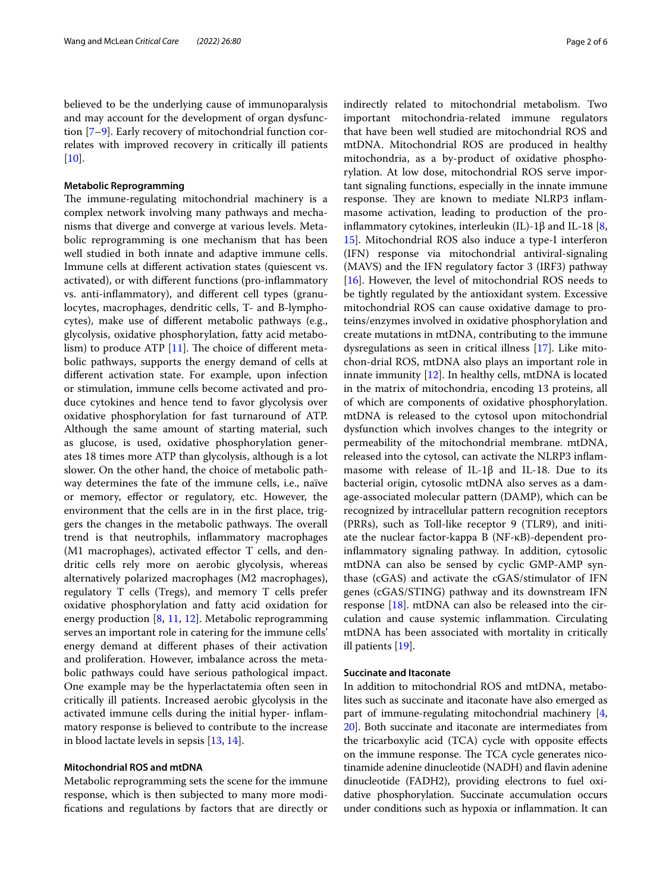believed to be the underlying cause of immunoparalysis and may account for the development of organ dysfunction [\[7–](#page-4-7)[9\]](#page-4-8). Early recovery of mitochondrial function correlates with improved recovery in critically ill patients [[10\]](#page-4-9).

#### **Metabolic Reprogramming**

The immune-regulating mitochondrial machinery is a complex network involving many pathways and mechanisms that diverge and converge at various levels. Metabolic reprogramming is one mechanism that has been well studied in both innate and adaptive immune cells. Immune cells at diferent activation states (quiescent vs. activated), or with diferent functions (pro-infammatory vs. anti-infammatory), and diferent cell types (granulocytes, macrophages, dendritic cells, T- and B-lymphocytes), make use of diferent metabolic pathways (e.g., glycolysis, oxidative phosphorylation, fatty acid metabolism) to produce ATP  $[11]$  $[11]$ . The choice of different metabolic pathways, supports the energy demand of cells at diferent activation state. For example, upon infection or stimulation, immune cells become activated and produce cytokines and hence tend to favor glycolysis over oxidative phosphorylation for fast turnaround of ATP. Although the same amount of starting material, such as glucose, is used, oxidative phosphorylation generates 18 times more ATP than glycolysis, although is a lot slower. On the other hand, the choice of metabolic pathway determines the fate of the immune cells, i.e., naïve or memory, efector or regulatory, etc. However, the environment that the cells are in in the frst place, triggers the changes in the metabolic pathways. The overall trend is that neutrophils, infammatory macrophages (M1 macrophages), activated efector T cells, and dendritic cells rely more on aerobic glycolysis, whereas alternatively polarized macrophages (M2 macrophages), regulatory T cells (Tregs), and memory T cells prefer oxidative phosphorylation and fatty acid oxidation for energy production [[8,](#page-4-6) [11,](#page-4-10) [12](#page-4-11)]. Metabolic reprogramming serves an important role in catering for the immune cells' energy demand at diferent phases of their activation and proliferation. However, imbalance across the metabolic pathways could have serious pathological impact. One example may be the hyperlactatemia often seen in critically ill patients. Increased aerobic glycolysis in the activated immune cells during the initial hyper- infammatory response is believed to contribute to the increase in blood lactate levels in sepsis [[13,](#page-4-12) [14](#page-4-13)].

### **Mitochondrial ROS and mtDNA**

Metabolic reprogramming sets the scene for the immune response, which is then subjected to many more modifcations and regulations by factors that are directly or indirectly related to mitochondrial metabolism. Two important mitochondria-related immune regulators that have been well studied are mitochondrial ROS and mtDNA. Mitochondrial ROS are produced in healthy mitochondria, as a by-product of oxidative phosphorylation. At low dose, mitochondrial ROS serve important signaling functions, especially in the innate immune response. They are known to mediate NLRP3 inflammasome activation, leading to production of the pro-inflammatory cytokines, interleukin (IL)-1β and IL-18 [\[8](#page-4-6), [15\]](#page-4-14). Mitochondrial ROS also induce a type-I interferon (IFN) response via mitochondrial antiviral-signaling (MAVS) and the IFN regulatory factor 3 (IRF3) pathway [[16\]](#page-4-15). However, the level of mitochondrial ROS needs to be tightly regulated by the antioxidant system. Excessive mitochondrial ROS can cause oxidative damage to proteins/enzymes involved in oxidative phosphorylation and create mutations in mtDNA, contributing to the immune dysregulations as seen in critical illness [\[17](#page-4-16)]. Like mitochon-drial ROS, mtDNA also plays an important role in innate immunity [[12\]](#page-4-11). In healthy cells, mtDNA is located in the matrix of mitochondria, encoding 13 proteins, all of which are components of oxidative phosphorylation. mtDNA is released to the cytosol upon mitochondrial dysfunction which involves changes to the integrity or permeability of the mitochondrial membrane. mtDNA, released into the cytosol, can activate the NLRP3 infammasome with release of IL-1 $\beta$  and IL-18. Due to its bacterial origin, cytosolic mtDNA also serves as a damage-associated molecular pattern (DAMP), which can be recognized by intracellular pattern recognition receptors (PRRs), such as Toll-like receptor 9 (TLR9), and initiate the nuclear factor-kappa B (NF-κB)-dependent proinfammatory signaling pathway. In addition, cytosolic mtDNA can also be sensed by cyclic GMP-AMP synthase (cGAS) and activate the cGAS/stimulator of IFN genes (cGAS/STING) pathway and its downstream IFN response [\[18](#page-5-0)]. mtDNA can also be released into the circulation and cause systemic infammation. Circulating mtDNA has been associated with mortality in critically ill patients [[19\]](#page-5-1).

# **Succinate and Itaconate**

In addition to mitochondrial ROS and mtDNA, metabolites such as succinate and itaconate have also emerged as part of immune-regulating mitochondrial machinery [[4](#page-4-3), [20](#page-5-2)]. Both succinate and itaconate are intermediates from the tricarboxylic acid (TCA) cycle with opposite efects on the immune response. The TCA cycle generates nicotinamide adenine dinucleotide (NADH) and flavin adenine dinucleotide (FADH2), providing electrons to fuel oxidative phosphorylation. Succinate accumulation occurs under conditions such as hypoxia or infammation. It can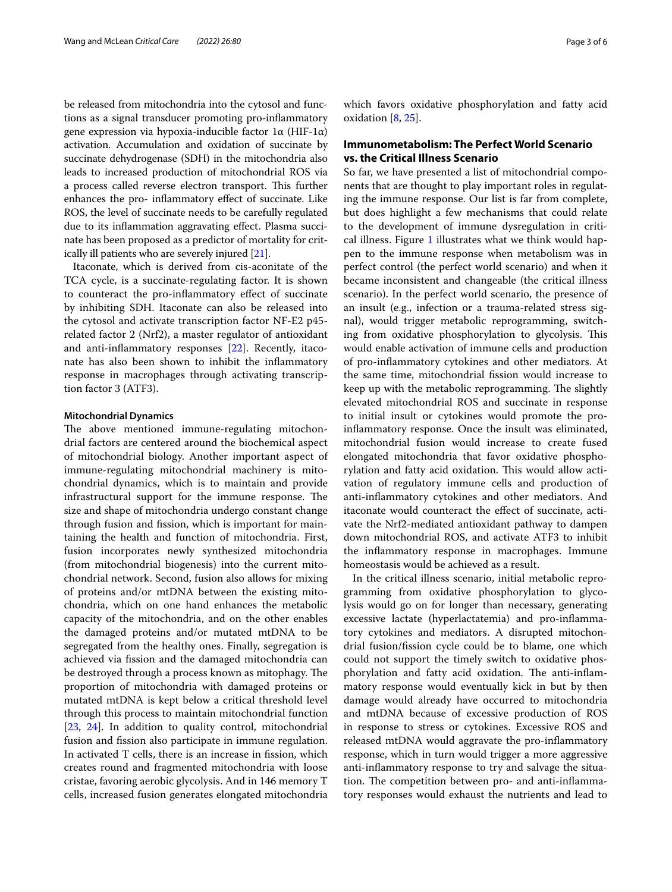be released from mitochondria into the cytosol and functions as a signal transducer promoting pro-infammatory gene expression via hypoxia-inducible factor  $1α$  (HIF- $1α$ ) activation. Accumulation and oxidation of succinate by succinate dehydrogenase (SDH) in the mitochondria also leads to increased production of mitochondrial ROS via a process called reverse electron transport. This further enhances the pro- infammatory efect of succinate. Like ROS, the level of succinate needs to be carefully regulated due to its inflammation aggravating effect. Plasma succinate has been proposed as a predictor of mortality for critically ill patients who are severely injured [\[21\]](#page-5-3).

Itaconate, which is derived from cis-aconitate of the TCA cycle, is a succinate-regulating factor. It is shown to counteract the pro-infammatory efect of succinate by inhibiting SDH. Itaconate can also be released into the cytosol and activate transcription factor NF-E2 p45 related factor 2 (Nrf2), a master regulator of antioxidant and anti-infammatory responses [\[22\]](#page-5-4). Recently, itaconate has also been shown to inhibit the infammatory response in macrophages through activating transcription factor 3 (ATF3).

#### **Mitochondrial Dynamics**

The above mentioned immune-regulating mitochondrial factors are centered around the biochemical aspect of mitochondrial biology. Another important aspect of immune-regulating mitochondrial machinery is mitochondrial dynamics, which is to maintain and provide infrastructural support for the immune response. The size and shape of mitochondria undergo constant change through fusion and fssion, which is important for maintaining the health and function of mitochondria. First, fusion incorporates newly synthesized mitochondria (from mitochondrial biogenesis) into the current mitochondrial network. Second, fusion also allows for mixing of proteins and/or mtDNA between the existing mitochondria, which on one hand enhances the metabolic capacity of the mitochondria, and on the other enables the damaged proteins and/or mutated mtDNA to be segregated from the healthy ones. Finally, segregation is achieved via fssion and the damaged mitochondria can be destroyed through a process known as mitophagy. The proportion of mitochondria with damaged proteins or mutated mtDNA is kept below a critical threshold level through this process to maintain mitochondrial function [[23,](#page-5-5) [24\]](#page-5-6). In addition to quality control, mitochondrial fusion and fssion also participate in immune regulation. In activated T cells, there is an increase in fission, which creates round and fragmented mitochondria with loose cristae, favoring aerobic glycolysis. And in 146 memory T cells, increased fusion generates elongated mitochondria which favors oxidative phosphorylation and fatty acid oxidation [[8,](#page-4-6) [25](#page-5-7)].

# **Immunometabolism: The Perfect World Scenario vs. the Critical Illness Scenario**

So far, we have presented a list of mitochondrial components that are thought to play important roles in regulating the immune response. Our list is far from complete, but does highlight a few mechanisms that could relate to the development of immune dysregulation in critical illness. Figure [1](#page-3-0) illustrates what we think would happen to the immune response when metabolism was in perfect control (the perfect world scenario) and when it became inconsistent and changeable (the critical illness scenario). In the perfect world scenario, the presence of an insult (e.g., infection or a trauma-related stress signal), would trigger metabolic reprogramming, switching from oxidative phosphorylation to glycolysis. This would enable activation of immune cells and production of pro-infammatory cytokines and other mediators. At the same time, mitochondrial fssion would increase to keep up with the metabolic reprogramming. The slightly elevated mitochondrial ROS and succinate in response to initial insult or cytokines would promote the proinfammatory response. Once the insult was eliminated, mitochondrial fusion would increase to create fused elongated mitochondria that favor oxidative phosphorylation and fatty acid oxidation. This would allow activation of regulatory immune cells and production of anti-infammatory cytokines and other mediators. And itaconate would counteract the efect of succinate, activate the Nrf2-mediated antioxidant pathway to dampen down mitochondrial ROS, and activate ATF3 to inhibit the infammatory response in macrophages. Immune homeostasis would be achieved as a result.

In the critical illness scenario, initial metabolic reprogramming from oxidative phosphorylation to glycolysis would go on for longer than necessary, generating excessive lactate (hyperlactatemia) and pro-infammatory cytokines and mediators. A disrupted mitochondrial fusion/fssion cycle could be to blame, one which could not support the timely switch to oxidative phosphorylation and fatty acid oxidation. The anti-inflammatory response would eventually kick in but by then damage would already have occurred to mitochondria and mtDNA because of excessive production of ROS in response to stress or cytokines. Excessive ROS and released mtDNA would aggravate the pro-infammatory response, which in turn would trigger a more aggressive anti-infammatory response to try and salvage the situation. The competition between pro- and anti-inflammatory responses would exhaust the nutrients and lead to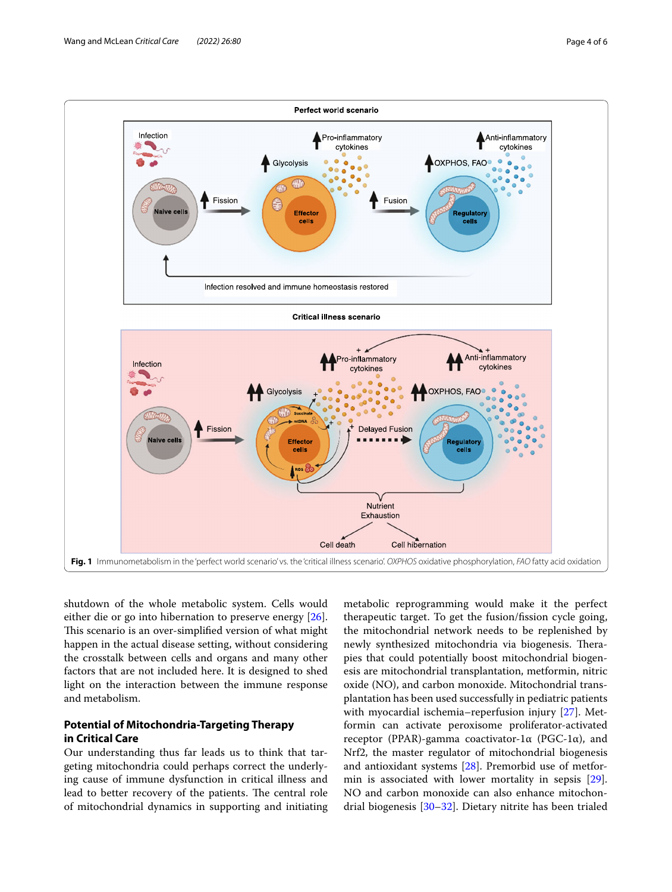

<span id="page-3-0"></span>shutdown of the whole metabolic system. Cells would either die or go into hibernation to preserve energy [\[26](#page-5-8)]. This scenario is an over-simplified version of what might happen in the actual disease setting, without considering the crosstalk between cells and organs and many other factors that are not included here. It is designed to shed light on the interaction between the immune response and metabolism.

# **Potential of Mitochondria‑Targeting Therapy in Critical Care**

Our understanding thus far leads us to think that targeting mitochondria could perhaps correct the underlying cause of immune dysfunction in critical illness and lead to better recovery of the patients. The central role of mitochondrial dynamics in supporting and initiating

metabolic reprogramming would make it the perfect therapeutic target. To get the fusion/fssion cycle going, the mitochondrial network needs to be replenished by newly synthesized mitochondria via biogenesis. Therapies that could potentially boost mitochondrial biogenesis are mitochondrial transplantation, metformin, nitric oxide (NO), and carbon monoxide. Mitochondrial transplantation has been used successfully in pediatric patients with myocardial ischemia–reperfusion injury [[27](#page-5-9)]. Metformin can activate peroxisome proliferator-activated receptor (PPAR)-gamma coactivator-1α (PGC-1α), and Nrf2, the master regulator of mitochondrial biogenesis and antioxidant systems [\[28](#page-5-10)]. Premorbid use of metformin is associated with lower mortality in sepsis [\[29](#page-5-11)]. NO and carbon monoxide can also enhance mitochondrial biogenesis [\[30](#page-5-12)[–32](#page-5-13)]. Dietary nitrite has been trialed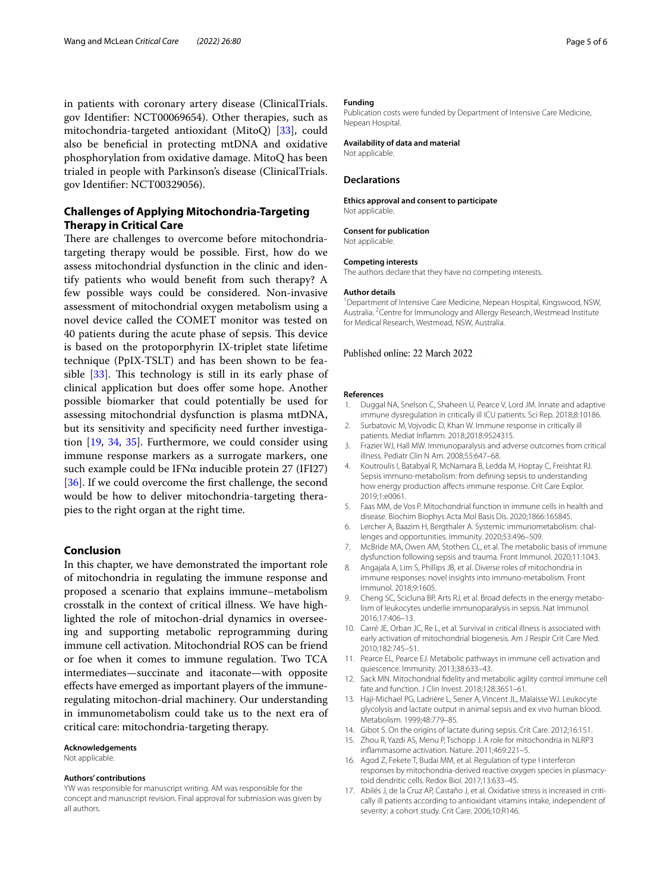in patients with coronary artery disease (ClinicalTrials. gov Identifer: NCT00069654). Other therapies, such as mitochondria-targeted antioxidant (MitoQ) [[33\]](#page-5-14), could also be benefcial in protecting mtDNA and oxidative phosphorylation from oxidative damage. MitoQ has been trialed in people with Parkinson's disease (ClinicalTrials. gov Identifer: NCT00329056).

# **Challenges of Applying Mitochondria‑Targeting Therapy in Critical Care**

There are challenges to overcome before mitochondriatargeting therapy would be possible. First, how do we assess mitochondrial dysfunction in the clinic and identify patients who would beneft from such therapy? A few possible ways could be considered. Non-invasive assessment of mitochondrial oxygen metabolism using a novel device called the COMET monitor was tested on 40 patients during the acute phase of sepsis. This device is based on the protoporphyrin IX-triplet state lifetime technique (PpIX-TSLT) and has been shown to be feasible  $[33]$  $[33]$ . This technology is still in its early phase of clinical application but does ofer some hope. Another possible biomarker that could potentially be used for assessing mitochondrial dysfunction is plasma mtDNA, but its sensitivity and specifcity need further investigation [\[19,](#page-5-1) [34,](#page-5-15) [35](#page-5-16)]. Furthermore, we could consider using immune response markers as a surrogate markers, one such example could be  $IFN\alpha$  inducible protein 27 (IFI27) [[36\]](#page-5-17). If we could overcome the first challenge, the second would be how to deliver mitochondria-targeting therapies to the right organ at the right time.

# **Conclusion**

In this chapter, we have demonstrated the important role of mitochondria in regulating the immune response and proposed a scenario that explains immune–metabolism crosstalk in the context of critical illness. We have highlighted the role of mitochon-drial dynamics in overseeing and supporting metabolic reprogramming during immune cell activation. Mitochondrial ROS can be friend or foe when it comes to immune regulation. Two TCA intermediates—succinate and itaconate—with opposite efects have emerged as important players of the immuneregulating mitochon-drial machinery. Our understanding in immunometabolism could take us to the next era of critical care: mitochondria-targeting therapy.

#### **Acknowledgements**

Not applicable.

#### **Authors' contributions**

YW was responsible for manuscript writing. AM was responsible for the concept and manuscript revision. Final approval for submission was given by all authors.

#### **Funding**

Publication costs were funded by Department of Intensive Care Medicine, Nepean Hospital.

#### **Availability of data and material**

Not applicable.

#### **Declarations**

**Ethics approval and consent to participate** Not applicable.

## **Consent for publication**

Not applicable.

# **Competing interests**

The authors declare that they have no competing interests.

#### **Author details**

<sup>1</sup> Department of Intensive Care Medicine, Nepean Hospital, Kingswood, NSW, Australia. <sup>2</sup> Centre for Immunology and Allergy Research, Westmead Institute for Medical Research, Westmead, NSW, Australia.

#### Published online: 22 March 2022

#### **References**

- <span id="page-4-0"></span>1. Duggal NA, Snelson C, Shaheen U, Pearce V, Lord JM. Innate and adaptive immune dysregulation in critically ill ICU patients. Sci Rep. 2018;8:10186.
- <span id="page-4-1"></span>2. Surbatovic M, Vojvodic D, Khan W. Immune response in critically ill patients. Mediat Infamm. 2018;2018:9524315.
- <span id="page-4-2"></span>3. Frazier WJ, Hall MW. Immunoparalysis and adverse outcomes from critical illness. Pediatr Clin N Am. 2008;55:647–68.
- <span id="page-4-3"></span>4. Koutroulis I, Batabyal R, McNamara B, Ledda M, Hoptay C, Freishtat RJ. Sepsis immuno-metabolism: from defning sepsis to understanding how energy production affects immune response. Crit Care Explor. 2019;1:e0061.
- <span id="page-4-4"></span>5. Faas MM, de Vos P. Mitochondrial function in immune cells in health and disease. Biochim Biophys Acta Mol Basis Dis. 2020;1866:165845.
- <span id="page-4-5"></span>6. Lercher A, Baazim H, Bergthaler A. Systemic immunometabolism: challenges and opportunities. Immunity. 2020;53:496–509.
- <span id="page-4-7"></span>7. McBride MA, Owen AM, Stothers CL, et al. The metabolic basis of immune dysfunction following sepsis and trauma. Front Immunol. 2020;11:1043.
- <span id="page-4-6"></span>8. Angajala A, Lim S, Phillips JB, et al. Diverse roles of mitochondria in immune responses: novel insights into immuno-metabolism. Front Immunol. 2018;9:1605.
- <span id="page-4-8"></span>9. Cheng SC, Scicluna BP, Arts RJ, et al. Broad defects in the energy metabolism of leukocytes underlie immunoparalysis in sepsis. Nat Immunol. 2016;17:406–13.
- <span id="page-4-9"></span>10. Carré JE, Orban JC, Re L, et al. Survival in critical illness is associated with early activation of mitochondrial biogenesis. Am J Respir Crit Care Med. 2010;182:745–51.
- <span id="page-4-10"></span>11. Pearce EL, Pearce EJ. Metabolic pathways in immune cell activation and quiescence. Immunity. 2013;38:633–43.
- <span id="page-4-11"></span>12. Sack MN. Mitochondrial fdelity and metabolic agility control immune cell fate and function. J Clin Invest. 2018;128:3651–61.
- <span id="page-4-12"></span>13. Haji-Michael PG, Ladrière L, Sener A, Vincent JL, Malaisse WJ. Leukocyte glycolysis and lactate output in animal sepsis and ex vivo human blood. Metabolism. 1999;48:779–85.
- <span id="page-4-13"></span>14. Gibot S. On the origins of lactate during sepsis. Crit Care. 2012;16:151.
- <span id="page-4-14"></span>15. Zhou R, Yazdi AS, Menu P, Tschopp J. A role for mitochondria in NLRP3 infammasome activation. Nature. 2011;469:221–5.
- <span id="page-4-15"></span>16. Agod Z, Fekete T, Budai MM, et al. Regulation of type I interferon responses by mitochondria-derived reactive oxygen species in plasmacytoid dendritic cells. Redox Biol. 2017;13:633–45.
- <span id="page-4-16"></span>17. Abilés J, de la Cruz AP, Castaño J, et al. Oxidative stress is increased in critically ill patients according to antioxidant vitamins intake, independent of severity: a cohort study. Crit Care. 2006;10:R146.